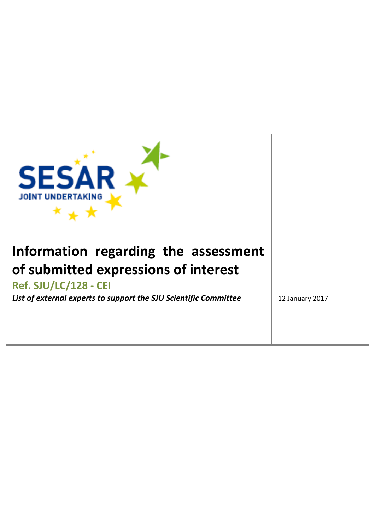

## **Information regarding the assessment of submitted expressions of interest**

## **Ref. SJU/LC/128 - CEI**

**List of external experts to support the SJU Scientific Committee** 2017